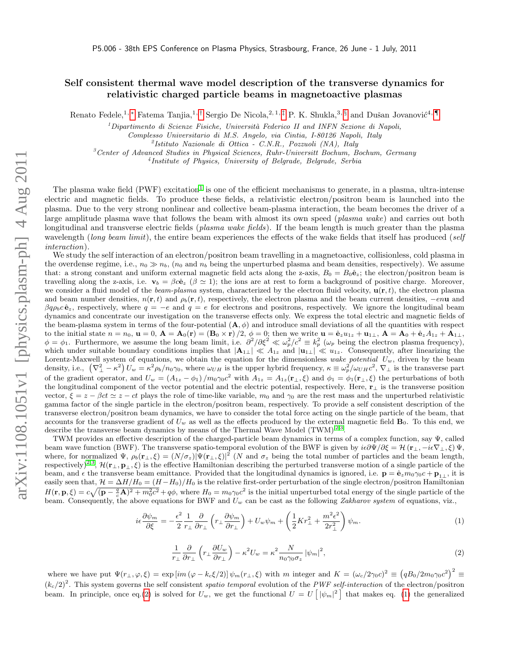## Self consistent thermal wave model description of the transverse dynamics for relativistic charged particle beams in magnetoactive plasmas

Renato Fedele,<sup>1, \*</sup> Fatema Tanjia,<sup>1, [†](#page-2-1)</sup> Sergio De Nicola,<sup>2, 1, [‡](#page-2-2)</sup> P. K. Shukla,<sup>3, [§](#page-2-3)</sup> and Dušan Jovanović<sup>4, [¶](#page-2-4)</sup>

 $<sup>1</sup> Dipartimento di Science Fisiche, Università Federico II and INFN Sezione di Napoli,$ </sup>

Complesso Universitario di M.S. Angelo, via Cintia, I-80126 Napoli, Italy

2 Istituto Nazionale di Ottica - C.N.R., Pozzuoli (NA), Italy

 ${}^{3}$ Center of Advanced Studies in Physical Sciences, Ruhr-Universitt Bochum, Bochum, Germany

4 Institute of Physics, University of Belgrade, Belgrade, Serbia

The plasma wake field (PWF) excitation<sup>[1](#page-2-5)</sup> is one of the efficient mechanisms to generate, in a plasma, ultra-intense electric and magnetic fields. To produce these fields, a relativistic electron/positron beam is launched into the plasma. Due to the very strong nonlinear and collective beam-plasma interaction, the beam becomes the driver of a large amplitude plasma wave that follows the beam with almost its own speed (*plasma wake*) and carries out both longitudinal and transverse electric fields (*plasma wake fields*). If the beam length is much greater than the plasma wavelength (long beam limit), the entire beam experiences the effects of the wake fields that itself has produced (self interaction).

We study the self interaction of an electron/positron beam travelling in a magnetoactive, collisionless, cold plasma in the overdense regime, i.e.,  $n_0 \gg n_b$ ,  $(n_0 \text{ and } n_b \text{ being the unperturbed plasma and beam densities, respectively). We assume$ that: a strong constant and uniform external magnetic field acts along the z-axis,  $B_0 = B_0 \hat{e}_z$ ; the electron/positron beam is travelling along the z-axis, i.e.  $\mathbf{v}_b = \beta c \hat{\mathbf{e}}_z$  ( $\beta \simeq 1$ ); the ions are at rest to form a background of positive charge. Moreover, we consider a fluid model of the *beam-plasma* system, characterized by the electron fluid velocity,  $\mathbf{u}(\mathbf{r},t)$ , the electron plasma and beam number densities,  $n(\mathbf{r}, t)$  and  $\rho_b(\mathbf{r}, t)$ , respectively, the electron plasma and the beam current densities,  $-en\mathbf{u}$  and  $\beta q \rho_b c \hat{\mathbf{e}}_z$ , respectively, where  $q = -e$  and  $q = e$  for electrons and positrons, respectively. We ignore the longitudinal beam dynamics and concentrate our investigation on the transverse effects only. We express the total electric and magnetic fields of the beam-plasma system in terms of the four-potential  $(A, \phi)$  and introduce small deviations of all the quantities with respect to the initial state  $n = n_0$ ,  $\mathbf{u} = 0$ ,  $\mathbf{A} = \mathbf{A}_0(\mathbf{r}) = (\mathbf{B}_0 \times \mathbf{r})/2$ ,  $\phi = 0$ ; then we write  $\mathbf{u} = \hat{\mathbf{e}}_z u_{1z} + \mathbf{u}_{1\perp}$ ,  $\mathbf{A} = \mathbf{A}_0 + \hat{\mathbf{e}}_z A_{1z} + \mathbf{A}_{1\perp}$ ,  $\phi = \phi_1$ . Furthermore, we assume the long beam limit, i.e.  $\partial^2/\partial \xi^2 \ll \omega_p^2/c^2 \equiv k_p^2$  ( $\omega_p$  being the electron plasma frequency), which under suitable boundary conditions implies that  $|\mathbf{A}_{1\perp}| \ll A_{1z}$  and  $|\mathbf{u}_{1\perp}| \ll u_{1z}$ . Consequently, after linearizing the Lorentz-Maxwell system of equations, we obtain the equation for the dimensionless wake potential  $U_w$ , driven by the beam density, i.e.,  $(\nabla^2_{\perp} - \kappa^2) U_w = \kappa^2 \rho_b / n_0 \gamma_0$ , where  $\omega_{UH}$  is the upper hybrid frequency,  $\kappa \equiv \omega_p^2 / \omega_{UH} c^2$ ,  $\nabla_{\perp}$  is the transverse part of the gradient operator, and  $U_w = (A_{1z} - \phi_1)/m_0\gamma_0c^2$  with  $A_{1z} = A_{1z}(\mathbf{r}_\perp,\xi)$  and  $\phi_1 = \phi_1(\mathbf{r}_\perp,\xi)$  the perturbations of both the longitudinal component of the vector potential and the electric potential, respectively. Here, r<sup>⊥</sup> is the transverse position vector,  $\xi = z - \beta ct \approx z - ct$  plays the role of time-like variable,  $m_0$  and  $\gamma_0$  are the rest mass and the unperturbed relativistic gamma factor of the single particle in the electron/positron beam, respectively. To provide a self consistent description of the transverse electron/positron beam dynamics, we have to consider the total force acting on the single particle of the beam, that accounts for the transverse gradient of  $U_w$  as well as the effects produced by the external magnetic field  $\mathbf{B}_0$ . To this end, we describe the transverse beam dynamics by means of the Thermal Wave Model  $(TWM)^{2,3}$  $(TWM)^{2,3}$  $(TWM)^{2,3}$  $(TWM)^{2,3}$ .

TWM provides an effective description of the charged-particle beam dynamics in terms of a complex function, say Ψ, called beam wave function (BWF). The transverse spatio-temporal evolution of the BWF is given by  $i\epsilon\partial\Psi/\partial\xi = \mathcal{H}(\mathbf{r}_{\perp}, -i\epsilon\nabla_{\perp}, \xi)\Psi$ , where, for normalized  $\Psi$ ,  $\rho_b(\mathbf{r}_\perp,\xi) = (N/\sigma_z)|\Psi(\mathbf{r}_\perp,\xi)|^2$  (N and  $\sigma_z$  being the total number of particles and the beam length, respectively)<sup>[2,](#page-2-6)[3](#page-2-7)</sup>,  $\mathcal{H}(\mathbf{r}_{\perp}, \mathbf{p}_{\perp}, \xi)$  is the effective Hamiltonian describing the perturbed transverse motion of a single particle of the beam, and  $\epsilon$  the transverse beam emittance. Provided that the longitudinal dynamics is ignored, i.e.  $\mathbf{p} = \hat{\mathbf{e}}_z m_0 \gamma_0 c + \mathbf{p}_{1\perp}$ , it is easily seen that,  $\mathcal{H} = \Delta H/H_0 = (H - H_0)/H_0$  is the relative first-order perturbation of the single electron/positron Hamiltonian  $H(\mathbf{r}, \mathbf{p}, \xi) = c \sqrt{(\mathbf{p} - \frac{q}{c}\mathbf{A})^2 + m_0^2 c^2} + q\phi$ , where  $H_0 = m_0 \gamma_0 c^2$  is the initial unperturbed total energy of the single particle of the beam. Consequently, the above equations for BWF and  $U_w$  can be cast as the following Zakharov system of equations, viz.,

<span id="page-0-1"></span>
$$
i\epsilon \frac{\partial \psi_m}{\partial \xi} = -\frac{\epsilon^2}{2} \frac{1}{r_\perp} \frac{\partial}{\partial r_\perp} \left( r_\perp \frac{\partial \psi_m}{\partial r_\perp} \right) + U_w \psi_m + \left( \frac{1}{2} K r_\perp^2 + \frac{m^2 \epsilon^2}{2r_\perp^2} \right) \psi_m. \tag{1}
$$

<span id="page-0-0"></span>
$$
\frac{1}{r_{\perp}} \frac{\partial}{\partial r_{\perp}} \left( r_{\perp} \frac{\partial U_w}{\partial r_{\perp}} \right) - \kappa^2 U_w = \kappa^2 \frac{N}{n_0 \gamma_0 \sigma_z} |\psi_m|^2,
$$
\n(2)

where we have put  $\Psi(r_{\perp},\varphi,\xi) = \exp\left[i m (\varphi - k_c \xi/2)\right] \psi_m(r_{\perp},\xi)$  with m integer and  $K = (\omega_c/2\gamma_0 c)^2 \equiv (qB_0/2m_0\gamma_0 c^2)^2 \equiv$  $(k_c/2)^2$ . This system governs the self consistent spatio temporal evolution of the PWF self-interaction of the electron/positron beam. In principle, once eq.[\(2\)](#page-0-0) is solved for  $U_w$ , we get the functional  $U = U \left[ |\psi_m|^2 \right]$  that makes eq. [\(1\)](#page-0-1) the generalized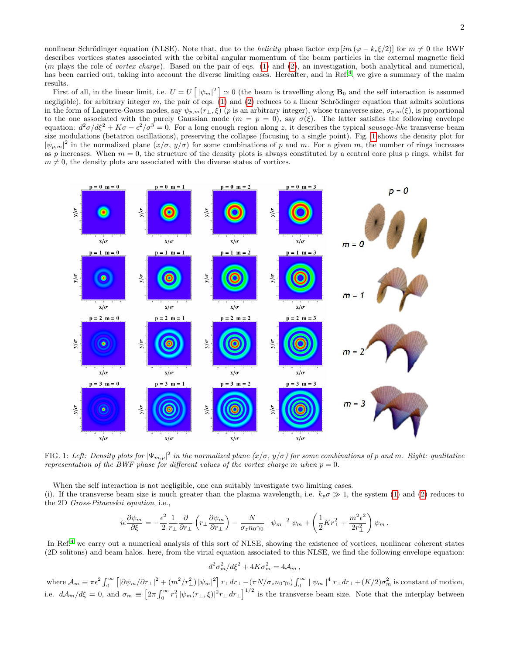nonlinear Schrödinger equation (NLSE). Note that, due to the *helicity* phase factor  $\exp[i m (\varphi - k_c \xi/2)]$  for  $m \neq 0$  the BWF describes vortices states associated with the orbital angular momentum of the beam particles in the external magnetic field  $(m$  plays the role of vortex charge). Based on the pair of eqs.  $(1)$  and  $(2)$ , an investigation, both analytical and numerical, has been carried out, taking into account the diverse limiting cases. Hereafter, and in Ref.<sup>[4](#page-2-8)</sup>, we give a summary of the maim results.

First of all, in the linear limit, i.e.  $U = U \left[ |\psi_m|^2 \right] \simeq 0$  (the beam is travelling along  $B_0$  and the self interaction is assumed negligible), for arbitrary integer  $m$ , the pair of eqs. [\(1\)](#page-0-1) and [\(2\)](#page-0-0) reduces to a linear Schrödinger equation that admits solutions in the form of Laguerre-Gauss modes, say  $\psi_{p,m}(r_{\perp},\xi)$  (p is an arbitrary integer), whose transverse size,  $\sigma_{p,m}(\xi)$ , is proportional to the one associated with the purely Gaussian mode  $(m = p = 0)$ , say  $\sigma(\xi)$ . The latter satisfies the following envelope equation:  $d^2\sigma/d\xi^2 + K\sigma - \epsilon^2/\sigma^3 = 0$ . For a long enough region along z, it describes the typical sausage-like transverse beam size modulations (betatron oscillations), preserving the collapse (focusing to a single point). Fig. [1](#page-1-0) shows the density plot for  $|\psi_{p,m}|^2$  in the normalized plane  $(x/\sigma, y/\sigma)$  for some combinations of p and m. For a given m, the number of rings increases as p increases. When  $m = 0$ , the structure of the density plots is always constituted by a central core plus p rings, whilst for  $m \neq 0$ , the density plots are associated with the diverse states of vortices.



<span id="page-1-0"></span>FIG. 1: Left: Density plots for  $|\Psi_{m,p}|^2$  in the normalized plane  $(x/\sigma, y/\sigma)$  for some combinations of p and m. Right: qualitative representation of the BWF phase for different values of the vortex charge m when  $p = 0$ .

When the self interaction is not negligible, one can suitably investigate two limiting cases.

(i). If the transverse beam size is much greater than the plasma wavelength, i.e.  $k_p \sigma \gg 1$ , the system [\(1\)](#page-0-1) and [\(2\)](#page-0-0) reduces to the 2D Gross-Pitaevskii equation, i.e.,

$$
i\epsilon \frac{\partial \psi_m}{\partial \xi} = -\frac{\epsilon^2}{2} \frac{1}{r_\perp} \frac{\partial}{\partial r_\perp} \left( r_\perp \frac{\partial \psi_m}{\partial r_\perp} \right) - \frac{N}{\sigma_z n_0 \gamma_0} \left| \psi_m \right|^2 \psi_m + \left( \frac{1}{2} K r_\perp^2 + \frac{m^2 \epsilon^2}{2r_\perp^2} \right) \psi_m.
$$

In Ref.<sup>[4](#page-2-8)</sup> we carry out a numerical analysis of this sort of NLSE, showing the existence of vortices, nonlinear coherent states (2D solitons) and beam halos. here, from the virial equation associated to this NLSE, we find the following envelope equation:

$$
d^2\sigma_m^2/d\xi^2 + 4K\sigma_m^2 = 4\mathcal{A}_m,
$$

where  $\mathcal{A}_m \equiv \pi \epsilon^2 \int_0^\infty \left[ \left| \partial \psi_m / \partial r_\perp \right|^2 + \left( m^2 / r_\perp^2 \right) \left| \psi_m \right|^2 \right] r_\perp dr_\perp - \left( \pi N / \sigma_z n_0 \gamma_0 \right) \int_0^\infty \left| \psi_m \right|^4 r_\perp dr_\perp + (K/2) \sigma_m^2$  is constant of motion, i.e.  $d\mathcal{A}_m/d\xi = 0$ , and  $\sigma_m \equiv \left[2\pi \int_0^\infty r_\perp^2 |\psi_m(r_\perp,\xi)|^2 r_\perp dr_\perp\right]^{1/2}$  is the transverse beam size. Note that the interplay between